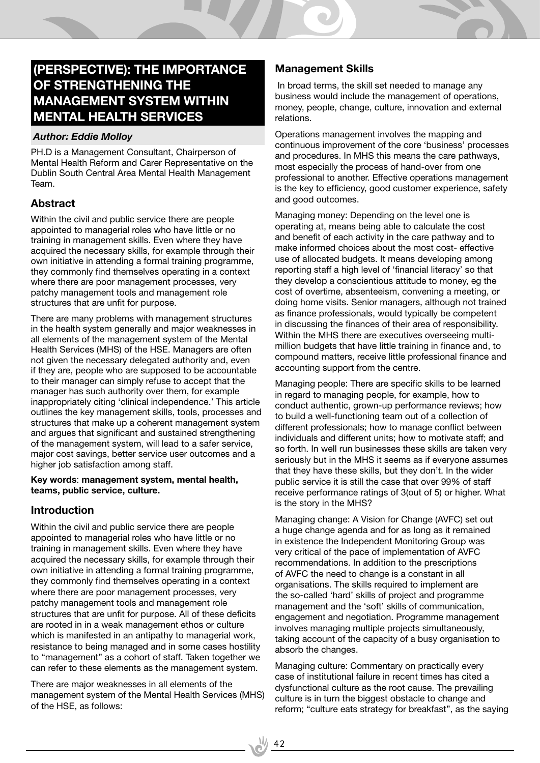# **(Perspective): The Importance of Strengthening the Management System within Mental Health Services**

#### *Author: Eddie Molloy*

PH.D is a Management Consultant, Chairperson of Mental Health Reform and Carer Representative on the Dublin South Central Area Mental Health Management Team.

## **Abstract**

Within the civil and public service there are people appointed to managerial roles who have little or no training in management skills. Even where they have acquired the necessary skills, for example through their own initiative in attending a formal training programme, they commonly find themselves operating in a context where there are poor management processes, very patchy management tools and management role structures that are unfit for purpose.

There are many problems with management structures in the health system generally and major weaknesses in all elements of the management system of the Mental Health Services (MHS) of the HSE. Managers are often not given the necessary delegated authority and, even if they are, people who are supposed to be accountable to their manager can simply refuse to accept that the manager has such authority over them, for example inappropriately citing 'clinical independence.' This article outlines the key management skills, tools, processes and structures that make up a coherent management system and argues that significant and sustained strengthening of the management system, will lead to a safer service, major cost savings, better service user outcomes and a higher job satisfaction among staff.

#### **Key words**: **management system, mental health, teams, public service, culture.**

## **Introduction**

Within the civil and public service there are people appointed to managerial roles who have little or no training in management skills. Even where they have acquired the necessary skills, for example through their own initiative in attending a formal training programme, they commonly find themselves operating in a context where there are poor management processes, very patchy management tools and management role structures that are unfit for purpose. All of these deficits are rooted in in a weak management ethos or culture which is manifested in an antipathy to managerial work, resistance to being managed and in some cases hostility to "management" as a cohort of staff. Taken together we can refer to these elements as the management system.

There are major weaknesses in all elements of the management system of the Mental Health Services (MHS) of the HSE, as follows:

## **Management Skills**

 In broad terms, the skill set needed to manage any business would include the management of operations, money, people, change, culture, innovation and external relations.

Operations management involves the mapping and continuous improvement of the core 'business' processes and procedures. In MHS this means the care pathways, most especially the process of hand-over from one professional to another. Effective operations management is the key to efficiency, good customer experience, safety and good outcomes.

Managing money: Depending on the level one is operating at, means being able to calculate the cost and benefit of each activity in the care pathway and to make informed choices about the most cost- effective use of allocated budgets. It means developing among reporting staff a high level of 'financial literacy' so that they develop a conscientious attitude to money, eg the cost of overtime, absenteeism, convening a meeting, or doing home visits. Senior managers, although not trained as finance professionals, would typically be competent in discussing the finances of their area of responsibility. Within the MHS there are executives overseeing multimillion budgets that have little training in finance and, to compound matters, receive little professional finance and accounting support from the centre.

Managing people: There are specific skills to be learned in regard to managing people, for example, how to conduct authentic, grown-up performance reviews; how to build a well-functioning team out of a collection of different professionals; how to manage conflict between individuals and different units; how to motivate staff; and so forth. In well run businesses these skills are taken very seriously but in the MHS it seems as if everyone assumes that they have these skills, but they don't. In the wider public service it is still the case that over 99% of staff receive performance ratings of 3(out of 5) or higher. What is the story in the MHS?

Managing change: A Vision for Change (AVFC) set out a huge change agenda and for as long as it remained in existence the Independent Monitoring Group was very critical of the pace of implementation of AVFC recommendations. In addition to the prescriptions of AVFC the need to change is a constant in all organisations. The skills required to implement are the so-called 'hard' skills of project and programme management and the 'soft' skills of communication, engagement and negotiation. Programme management involves managing multiple projects simultaneously, taking account of the capacity of a busy organisation to absorb the changes.

Managing culture: Commentary on practically every case of institutional failure in recent times has cited a dysfunctional culture as the root cause. The prevailing culture is in turn the biggest obstacle to change and reform; "culture eats strategy for breakfast", as the saying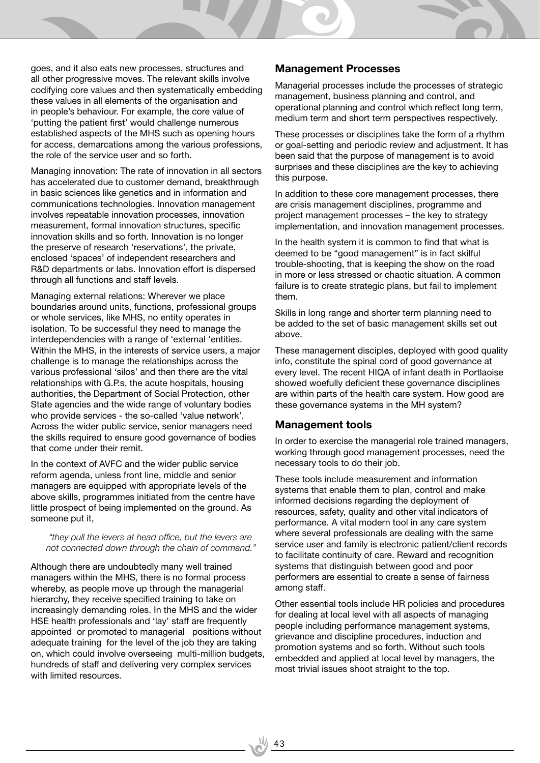goes, and it also eats new processes, structures and all other progressive moves. The relevant skills involve codifying core values and then systematically embedding these values in all elements of the organisation and in people's behaviour. For example, the core value of 'putting the patient first' would challenge numerous established aspects of the MHS such as opening hours for access, demarcations among the various professions, the role of the service user and so forth.

Managing innovation: The rate of innovation in all sectors has accelerated due to customer demand, breakthrough in basic sciences like genetics and in information and communications technologies. Innovation management involves repeatable innovation processes, innovation measurement, formal innovation structures, specific innovation skills and so forth. Innovation is no longer the preserve of research 'reservations', the private, enclosed 'spaces' of independent researchers and R&D departments or labs. Innovation effort is dispersed through all functions and staff levels.

Managing external relations: Wherever we place boundaries around units, functions, professional groups or whole services, like MHS, no entity operates in isolation. To be successful they need to manage the interdependencies with a range of 'external 'entities. Within the MHS, in the interests of service users, a major challenge is to manage the relationships across the various professional 'silos' and then there are the vital relationships with G.P.s, the acute hospitals, housing authorities, the Department of Social Protection, other State agencies and the wide range of voluntary bodies who provide services - the so-called 'value network'. Across the wider public service, senior managers need the skills required to ensure good governance of bodies that come under their remit.

In the context of AVFC and the wider public service reform agenda, unless front line, middle and senior managers are equipped with appropriate levels of the above skills, programmes initiated from the centre have little prospect of being implemented on the ground. As someone put it,

 *"they pull the levers at head office, but the levers are not connected down through the chain of command."*

Although there are undoubtedly many well trained managers within the MHS, there is no formal process whereby, as people move up through the managerial hierarchy, they receive specified training to take on increasingly demanding roles. In the MHS and the wider HSE health professionals and 'lay' staff are frequently appointed or promoted to managerial positions without adequate training for the level of the job they are taking on, which could involve overseeing multi-million budgets, hundreds of staff and delivering very complex services with limited resources.

 $\frac{1}{2}$  43

### **Management Processes**

Managerial processes include the processes of strategic management, business planning and control, and operational planning and control which reflect long term, medium term and short term perspectives respectively.

These processes or disciplines take the form of a rhythm or goal-setting and periodic review and adjustment. It has been said that the purpose of management is to avoid surprises and these disciplines are the key to achieving this purpose.

In addition to these core management processes, there are crisis management disciplines, programme and project management processes – the key to strategy implementation, and innovation management processes.

In the health system it is common to find that what is deemed to be "good management" is in fact skilful trouble-shooting, that is keeping the show on the road in more or less stressed or chaotic situation. A common failure is to create strategic plans, but fail to implement them.

Skills in long range and shorter term planning need to be added to the set of basic management skills set out above.

These management disciples, deployed with good quality info, constitute the spinal cord of good governance at every level. The recent HIQA of infant death in Portlaoise showed woefully deficient these governance disciplines are within parts of the health care system. How good are these governance systems in the MH system?

#### **Management tools**

In order to exercise the managerial role trained managers, working through good management processes, need the necessary tools to do their job.

These tools include measurement and information systems that enable them to plan, control and make informed decisions regarding the deployment of resources, safety, quality and other vital indicators of performance. A vital modern tool in any care system where several professionals are dealing with the same service user and family is electronic patient/client records to facilitate continuity of care. Reward and recognition systems that distinguish between good and poor performers are essential to create a sense of fairness among staff.

Other essential tools include HR policies and procedures for dealing at local level with all aspects of managing people including performance management systems, grievance and discipline procedures, induction and promotion systems and so forth. Without such tools embedded and applied at local level by managers, the most trivial issues shoot straight to the top.